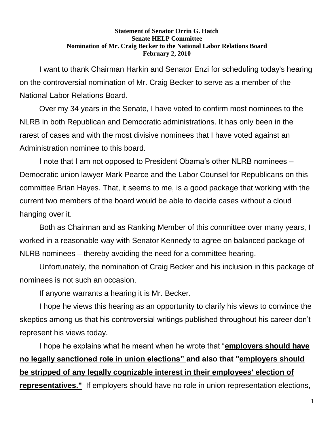## **Statement of Senator Orrin G. Hatch Senate HELP Committee Nomination of Mr. Craig Becker to the National Labor Relations Board February 2, 2010**

I want to thank Chairman Harkin and Senator Enzi for scheduling today's hearing on the controversial nomination of Mr. Craig Becker to serve as a member of the National Labor Relations Board.

Over my 34 years in the Senate, I have voted to confirm most nominees to the NLRB in both Republican and Democratic administrations. It has only been in the rarest of cases and with the most divisive nominees that I have voted against an Administration nominee to this board.

I note that I am not opposed to President Obama's other NLRB nominees – Democratic union lawyer Mark Pearce and the Labor Counsel for Republicans on this committee Brian Hayes. That, it seems to me, is a good package that working with the current two members of the board would be able to decide cases without a cloud hanging over it.

Both as Chairman and as Ranking Member of this committee over many years, I worked in a reasonable way with Senator Kennedy to agree on balanced package of NLRB nominees – thereby avoiding the need for a committee hearing.

Unfortunately, the nomination of Craig Becker and his inclusion in this package of nominees is not such an occasion.

If anyone warrants a hearing it is Mr. Becker.

I hope he views this hearing as an opportunity to clarify his views to convince the skeptics among us that his controversial writings published throughout his career don't represent his views today.

I hope he explains what he meant when he wrote that "**employers should have no legally sanctioned role in union elections" and also that "employers should be stripped of any legally cognizable interest in their employees' election of representatives."** If employers should have no role in union representation elections,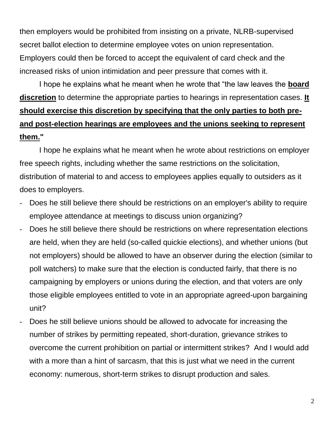then employers would be prohibited from insisting on a private, NLRB-supervised secret ballot election to determine employee votes on union representation. Employers could then be forced to accept the equivalent of card check and the increased risks of union intimidation and peer pressure that comes with it.

I hope he explains what he meant when he wrote that "the law leaves the **board discretion** to determine the appropriate parties to hearings in representation cases. **It should exercise this discretion by specifying that the only parties to both preand post-election hearings are employees and the unions seeking to represent them."**

I hope he explains what he meant when he wrote about restrictions on employer free speech rights, including whether the same restrictions on the solicitation, distribution of material to and access to employees applies equally to outsiders as it does to employers.

- Does he still believe there should be restrictions on an employer's ability to require employee attendance at meetings to discuss union organizing?
- Does he still believe there should be restrictions on where representation elections are held, when they are held (so-called quickie elections), and whether unions (but not employers) should be allowed to have an observer during the election (similar to poll watchers) to make sure that the election is conducted fairly, that there is no campaigning by employers or unions during the election, and that voters are only those eligible employees entitled to vote in an appropriate agreed-upon bargaining unit?
- Does he still believe unions should be allowed to advocate for increasing the number of strikes by permitting repeated, short-duration, grievance strikes to overcome the current prohibition on partial or intermittent strikes? And I would add with a more than a hint of sarcasm, that this is just what we need in the current economy: numerous, short-term strikes to disrupt production and sales.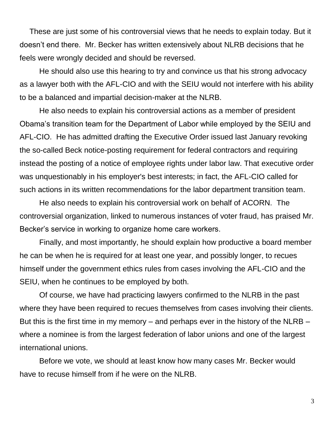These are just some of his controversial views that he needs to explain today. But it doesn't end there. Mr. Becker has written extensively about NLRB decisions that he feels were wrongly decided and should be reversed.

He should also use this hearing to try and convince us that his strong advocacy as a lawyer both with the AFL-CIO and with the SEIU would not interfere with his ability to be a balanced and impartial decision-maker at the NLRB.

He also needs to explain his controversial actions as a member of president Obama's transition team for the Department of Labor while employed by the SEIU and AFL-CIO. He has admitted drafting the Executive Order issued last January revoking the so-called Beck notice-posting requirement for federal contractors and requiring instead the posting of a notice of employee rights under labor law. That executive order was unquestionably in his employer's best interests; in fact, the AFL-CIO called for such actions in its written recommendations for the labor department transition team.

He also needs to explain his controversial work on behalf of ACORN. The controversial organization, linked to numerous instances of voter fraud, has praised Mr. Becker's service in working to organize home care workers.

Finally, and most importantly, he should explain how productive a board member he can be when he is required for at least one year, and possibly longer, to recues himself under the government ethics rules from cases involving the AFL-CIO and the SEIU, when he continues to be employed by both.

Of course, we have had practicing lawyers confirmed to the NLRB in the past where they have been required to recues themselves from cases involving their clients. But this is the first time in my memory – and perhaps ever in the history of the NLRB – where a nominee is from the largest federation of labor unions and one of the largest international unions.

Before we vote, we should at least know how many cases Mr. Becker would have to recuse himself from if he were on the NLRB.